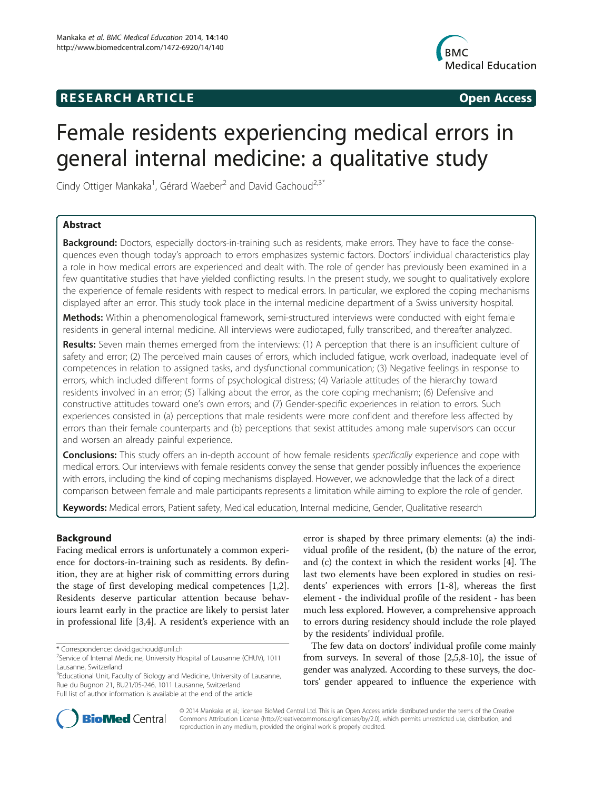## **RESEARCH ARTICLE Example 2018 Open Access**



# Female residents experiencing medical errors in general internal medicine: a qualitative study

Cindy Ottiger Mankaka<sup>1</sup>, Gérard Waeber<sup>2</sup> and David Gachoud<sup>2,3\*</sup>

## Abstract

Background: Doctors, especially doctors-in-training such as residents, make errors. They have to face the consequences even though today's approach to errors emphasizes systemic factors. Doctors' individual characteristics play a role in how medical errors are experienced and dealt with. The role of gender has previously been examined in a few quantitative studies that have yielded conflicting results. In the present study, we sought to qualitatively explore the experience of female residents with respect to medical errors. In particular, we explored the coping mechanisms displayed after an error. This study took place in the internal medicine department of a Swiss university hospital.

Methods: Within a phenomenological framework, semi-structured interviews were conducted with eight female residents in general internal medicine. All interviews were audiotaped, fully transcribed, and thereafter analyzed.

Results: Seven main themes emerged from the interviews: (1) A perception that there is an insufficient culture of safety and error; (2) The perceived main causes of errors, which included fatigue, work overload, inadequate level of competences in relation to assigned tasks, and dysfunctional communication; (3) Negative feelings in response to errors, which included different forms of psychological distress; (4) Variable attitudes of the hierarchy toward residents involved in an error; (5) Talking about the error, as the core coping mechanism; (6) Defensive and constructive attitudes toward one's own errors; and (7) Gender-specific experiences in relation to errors. Such experiences consisted in (a) perceptions that male residents were more confident and therefore less affected by errors than their female counterparts and (b) perceptions that sexist attitudes among male supervisors can occur and worsen an already painful experience.

**Conclusions:** This study offers an in-depth account of how female residents specifically experience and cope with medical errors. Our interviews with female residents convey the sense that gender possibly influences the experience with errors, including the kind of coping mechanisms displayed. However, we acknowledge that the lack of a direct comparison between female and male participants represents a limitation while aiming to explore the role of gender.

Keywords: Medical errors, Patient safety, Medical education, Internal medicine, Gender, Qualitative research

## Background

Facing medical errors is unfortunately a common experience for doctors-in-training such as residents. By definition, they are at higher risk of committing errors during the stage of first developing medical competences [\[1,2](#page-7-0)]. Residents deserve particular attention because behaviours learnt early in the practice are likely to persist later in professional life [[3,4\]](#page-7-0). A resident's experience with an

<sup>3</sup>Educational Unit, Faculty of Biology and Medicine, University of Lausanne, Rue du Bugnon 21, BU21/05-246, 1011 Lausanne, Switzerland Full list of author information is available at the end of the article

error is shaped by three primary elements: (a) the individual profile of the resident, (b) the nature of the error, and (c) the context in which the resident works [[4\]](#page-7-0). The last two elements have been explored in studies on residents' experiences with errors [\[1](#page-7-0)-[8\]](#page-7-0), whereas the first element - the individual profile of the resident - has been much less explored. However, a comprehensive approach to errors during residency should include the role played by the residents' individual profile.

The few data on doctors' individual profile come mainly from surveys. In several of those [\[2,5,8-10\]](#page-7-0), the issue of gender was analyzed. According to these surveys, the doctors' gender appeared to influence the experience with



© 2014 Mankaka et al.; licensee BioMed Central Ltd. This is an Open Access article distributed under the terms of the Creative Commons Attribution License [\(http://creativecommons.org/licenses/by/2.0\)](http://creativecommons.org/licenses/by/2.0), which permits unrestricted use, distribution, and reproduction in any medium, provided the original work is properly credited.

<sup>\*</sup> Correspondence: [david.gachoud@unil.ch](mailto:david.gachoud@unil.ch) <sup>2</sup>

<sup>&</sup>lt;sup>2</sup>Service of Internal Medicine, University Hospital of Lausanne (CHUV), 1011 Lausanne, Switzerland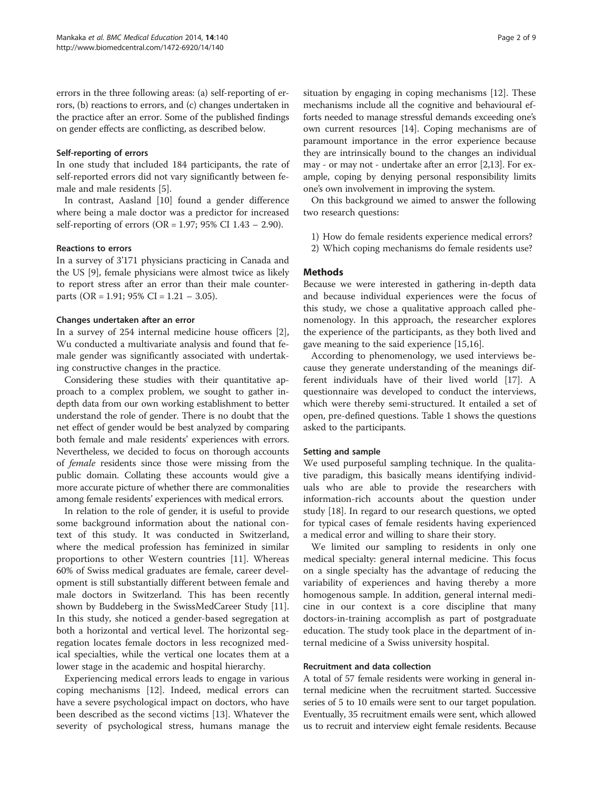errors in the three following areas: (a) self-reporting of errors, (b) reactions to errors, and (c) changes undertaken in the practice after an error. Some of the published findings on gender effects are conflicting, as described below.

## Self-reporting of errors

In one study that included 184 participants, the rate of self-reported errors did not vary significantly between female and male residents [\[5](#page-7-0)].

In contrast, Aasland [\[10](#page-7-0)] found a gender difference where being a male doctor was a predictor for increased self-reporting of errors (OR = 1.97; 95% CI 1.43 – 2.90).

## Reactions to errors

In a survey of 3'171 physicians practicing in Canada and the US [\[9](#page-7-0)], female physicians were almost twice as likely to report stress after an error than their male counterparts (OR = 1.91; 95% CI = 1.21 – 3.05).

## Changes undertaken after an error

In a survey of 254 internal medicine house officers [\[2](#page-7-0)], Wu conducted a multivariate analysis and found that female gender was significantly associated with undertaking constructive changes in the practice.

Considering these studies with their quantitative approach to a complex problem, we sought to gather indepth data from our own working establishment to better understand the role of gender. There is no doubt that the net effect of gender would be best analyzed by comparing both female and male residents' experiences with errors. Nevertheless, we decided to focus on thorough accounts of female residents since those were missing from the public domain. Collating these accounts would give a more accurate picture of whether there are commonalities among female residents' experiences with medical errors.

In relation to the role of gender, it is useful to provide some background information about the national context of this study. It was conducted in Switzerland, where the medical profession has feminized in similar proportions to other Western countries [[11](#page-7-0)]. Whereas 60% of Swiss medical graduates are female, career development is still substantially different between female and male doctors in Switzerland. This has been recently shown by Buddeberg in the SwissMedCareer Study [\[11](#page-7-0)]. In this study, she noticed a gender-based segregation at both a horizontal and vertical level. The horizontal segregation locates female doctors in less recognized medical specialties, while the vertical one locates them at a lower stage in the academic and hospital hierarchy.

Experiencing medical errors leads to engage in various coping mechanisms [\[12](#page-7-0)]. Indeed, medical errors can have a severe psychological impact on doctors, who have been described as the second victims [\[13\]](#page-7-0). Whatever the severity of psychological stress, humans manage the

situation by engaging in coping mechanisms [[12](#page-7-0)]. These mechanisms include all the cognitive and behavioural efforts needed to manage stressful demands exceeding one's own current resources [\[14\]](#page-7-0). Coping mechanisms are of paramount importance in the error experience because they are intrinsically bound to the changes an individual may - or may not - undertake after an error [\[2,13\]](#page-7-0). For example, coping by denying personal responsibility limits one's own involvement in improving the system.

On this background we aimed to answer the following two research questions:

- 1) How do female residents experience medical errors?
- 2) Which coping mechanisms do female residents use?

## Methods

Because we were interested in gathering in-depth data and because individual experiences were the focus of this study, we chose a qualitative approach called phenomenology. In this approach, the researcher explores the experience of the participants, as they both lived and gave meaning to the said experience [\[15,16](#page-7-0)].

According to phenomenology, we used interviews because they generate understanding of the meanings different individuals have of their lived world [[17\]](#page-7-0). A questionnaire was developed to conduct the interviews, which were thereby semi-structured. It entailed a set of open, pre-defined questions. Table [1](#page-2-0) shows the questions asked to the participants.

#### Setting and sample

We used purposeful sampling technique. In the qualitative paradigm, this basically means identifying individuals who are able to provide the researchers with information-rich accounts about the question under study [[18\]](#page-7-0). In regard to our research questions, we opted for typical cases of female residents having experienced a medical error and willing to share their story.

We limited our sampling to residents in only one medical specialty: general internal medicine. This focus on a single specialty has the advantage of reducing the variability of experiences and having thereby a more homogenous sample. In addition, general internal medicine in our context is a core discipline that many doctors-in-training accomplish as part of postgraduate education. The study took place in the department of internal medicine of a Swiss university hospital.

## Recruitment and data collection

A total of 57 female residents were working in general internal medicine when the recruitment started. Successive series of 5 to 10 emails were sent to our target population. Eventually, 35 recruitment emails were sent, which allowed us to recruit and interview eight female residents. Because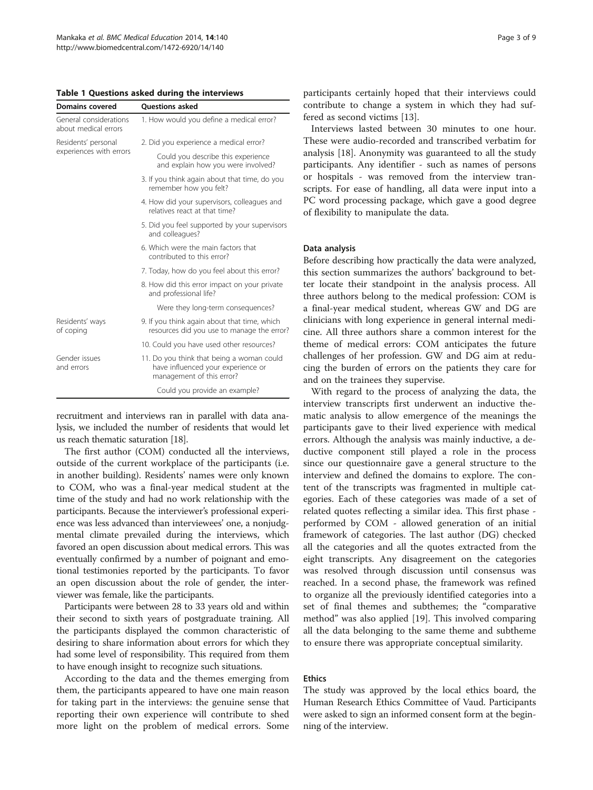<span id="page-2-0"></span>Table 1 Questions asked during the interviews

| Domains covered                                | <b>Questions asked</b>                                                                                       |  |  |
|------------------------------------------------|--------------------------------------------------------------------------------------------------------------|--|--|
| General considerations<br>about medical errors | 1. How would you define a medical error?                                                                     |  |  |
| Residents' personal<br>experiences with errors | 2. Did you experience a medical error?                                                                       |  |  |
|                                                | Could you describe this experience<br>and explain how you were involved?                                     |  |  |
|                                                | 3. If you think again about that time, do you<br>remember how you felt?                                      |  |  |
|                                                | 4. How did your supervisors, colleagues and<br>relatives react at that time?                                 |  |  |
|                                                | 5. Did you feel supported by your supervisors<br>and colleagues?                                             |  |  |
|                                                | 6. Which were the main factors that<br>contributed to this error?                                            |  |  |
|                                                | 7. Today, how do you feel about this error?                                                                  |  |  |
|                                                | 8. How did this error impact on your private<br>and professional life?                                       |  |  |
|                                                | Were they long-term consequences?                                                                            |  |  |
| Residents' ways<br>of coping                   | 9. If you think again about that time, which<br>resources did you use to manage the error?                   |  |  |
|                                                | 10. Could you have used other resources?                                                                     |  |  |
| Gender issues<br>and errors                    | 11. Do you think that being a woman could<br>have influenced your experience or<br>management of this error? |  |  |
|                                                | Could you provide an example?                                                                                |  |  |

recruitment and interviews ran in parallel with data analysis, we included the number of residents that would let us reach thematic saturation [\[18\]](#page-7-0).

The first author (COM) conducted all the interviews, outside of the current workplace of the participants (i.e. in another building). Residents' names were only known to COM, who was a final-year medical student at the time of the study and had no work relationship with the participants. Because the interviewer's professional experience was less advanced than interviewees' one, a nonjudgmental climate prevailed during the interviews, which favored an open discussion about medical errors. This was eventually confirmed by a number of poignant and emotional testimonies reported by the participants. To favor an open discussion about the role of gender, the interviewer was female, like the participants.

Participants were between 28 to 33 years old and within their second to sixth years of postgraduate training. All the participants displayed the common characteristic of desiring to share information about errors for which they had some level of responsibility. This required from them to have enough insight to recognize such situations.

According to the data and the themes emerging from them, the participants appeared to have one main reason for taking part in the interviews: the genuine sense that reporting their own experience will contribute to shed more light on the problem of medical errors. Some

participants certainly hoped that their interviews could contribute to change a system in which they had suffered as second victims [\[13\]](#page-7-0).

Interviews lasted between 30 minutes to one hour. These were audio-recorded and transcribed verbatim for analysis [\[18](#page-7-0)]. Anonymity was guaranteed to all the study participants. Any identifier - such as names of persons or hospitals - was removed from the interview transcripts. For ease of handling, all data were input into a PC word processing package, which gave a good degree of flexibility to manipulate the data.

## Data analysis

Before describing how practically the data were analyzed, this section summarizes the authors' background to better locate their standpoint in the analysis process. All three authors belong to the medical profession: COM is a final-year medical student, whereas GW and DG are clinicians with long experience in general internal medicine. All three authors share a common interest for the theme of medical errors: COM anticipates the future challenges of her profession. GW and DG aim at reducing the burden of errors on the patients they care for and on the trainees they supervise.

With regard to the process of analyzing the data, the interview transcripts first underwent an inductive thematic analysis to allow emergence of the meanings the participants gave to their lived experience with medical errors. Although the analysis was mainly inductive, a deductive component still played a role in the process since our questionnaire gave a general structure to the interview and defined the domains to explore. The content of the transcripts was fragmented in multiple categories. Each of these categories was made of a set of related quotes reflecting a similar idea. This first phase performed by COM - allowed generation of an initial framework of categories. The last author (DG) checked all the categories and all the quotes extracted from the eight transcripts. Any disagreement on the categories was resolved through discussion until consensus was reached. In a second phase, the framework was refined to organize all the previously identified categories into a set of final themes and subthemes; the "comparative method" was also applied [\[19\]](#page-7-0). This involved comparing all the data belonging to the same theme and subtheme to ensure there was appropriate conceptual similarity.

## Ethics

The study was approved by the local ethics board, the Human Research Ethics Committee of Vaud. Participants were asked to sign an informed consent form at the beginning of the interview.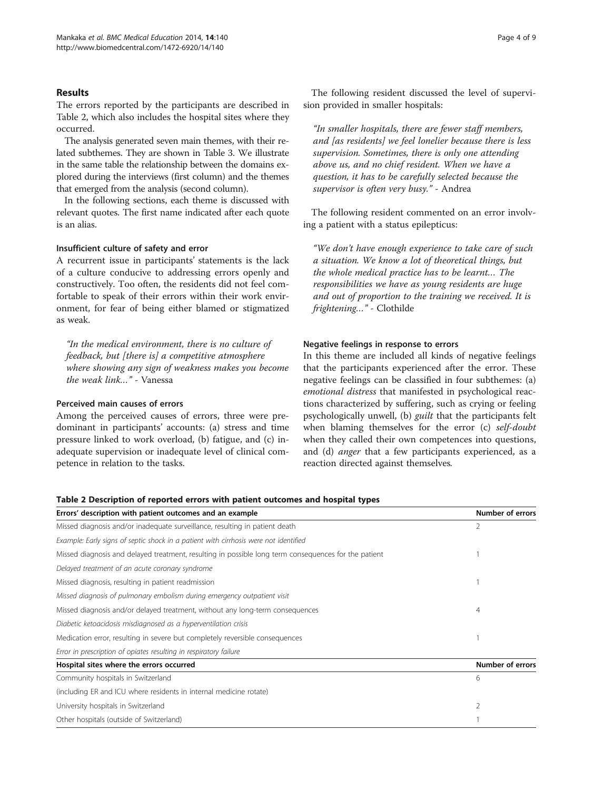## Results

The errors reported by the participants are described in Table 2, which also includes the hospital sites where they occurred.

The analysis generated seven main themes, with their related subthemes. They are shown in Table [3.](#page-4-0) We illustrate in the same table the relationship between the domains explored during the interviews (first column) and the themes that emerged from the analysis (second column).

In the following sections, each theme is discussed with relevant quotes. The first name indicated after each quote is an alias.

## Insufficient culture of safety and error

A recurrent issue in participants' statements is the lack of a culture conducive to addressing errors openly and constructively. Too often, the residents did not feel comfortable to speak of their errors within their work environment, for fear of being either blamed or stigmatized as weak.

"In the medical environment, there is no culture of feedback, but [there is] a competitive atmosphere where showing any sign of weakness makes you become the weak link…" - Vanessa

## Perceived main causes of errors

Among the perceived causes of errors, three were predominant in participants' accounts: (a) stress and time pressure linked to work overload, (b) fatigue, and (c) inadequate supervision or inadequate level of clinical competence in relation to the tasks.

The following resident discussed the level of supervision provided in smaller hospitals:

"In smaller hospitals, there are fewer staff members, and [as residents] we feel lonelier because there is less supervision. Sometimes, there is only one attending above us, and no chief resident. When we have a question, it has to be carefully selected because the supervisor is often very busy." - Andrea

The following resident commented on an error involving a patient with a status epilepticus:

"We don't have enough experience to take care of such a situation. We know a lot of theoretical things, but the whole medical practice has to be learnt… The responsibilities we have as young residents are huge and out of proportion to the training we received. It is frightening…" - Clothilde

## Negative feelings in response to errors

In this theme are included all kinds of negative feelings that the participants experienced after the error. These negative feelings can be classified in four subthemes: (a) emotional distress that manifested in psychological reactions characterized by suffering, such as crying or feeling psychologically unwell, (b) guilt that the participants felt when blaming themselves for the error (c) self-doubt when they called their own competences into questions, and (d) anger that a few participants experienced, as a reaction directed against themselves.

## Table 2 Description of reported errors with patient outcomes and hospital types

| Errors' description with patient outcomes and an example                                             | Number of errors |
|------------------------------------------------------------------------------------------------------|------------------|
| Missed diagnosis and/or inadequate surveillance, resulting in patient death                          | 2                |
| Example: Early signs of septic shock in a patient with cirrhosis were not identified                 |                  |
| Missed diagnosis and delayed treatment, resulting in possible long term consequences for the patient |                  |
| Delayed treatment of an acute coronary syndrome                                                      |                  |
| Missed diagnosis, resulting in patient readmission                                                   |                  |
| Missed diagnosis of pulmonary embolism during emergency outpatient visit                             |                  |
| Missed diagnosis and/or delayed treatment, without any long-term consequences                        | 4                |
| Diabetic ketoacidosis misdiagnosed as a hyperventilation crisis                                      |                  |
| Medication error, resulting in severe but completely reversible consequences                         |                  |
| Error in prescription of opiates resulting in respiratory failure                                    |                  |
| Hospital sites where the errors occurred                                                             | Number of errors |
| Community hospitals in Switzerland                                                                   | 6                |
| (including ER and ICU where residents in internal medicine rotate)                                   |                  |
| University hospitals in Switzerland                                                                  | 2                |
| Other hospitals (outside of Switzerland)                                                             |                  |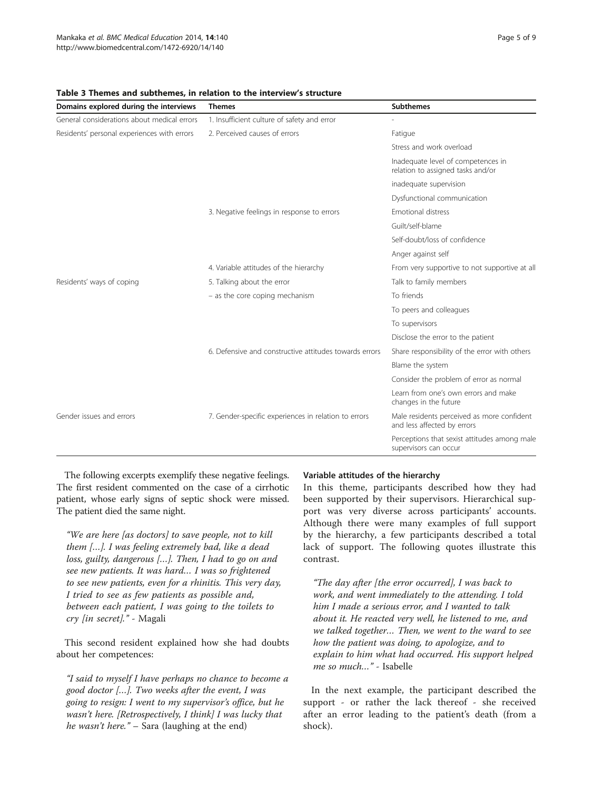| Domains explored during the interviews      | <b>Themes</b>                                          | <b>Subthemes</b>                                                          |
|---------------------------------------------|--------------------------------------------------------|---------------------------------------------------------------------------|
| General considerations about medical errors | 1. Insufficient culture of safety and error            |                                                                           |
| Residents' personal experiences with errors | 2. Perceived causes of errors                          | Fatigue                                                                   |
|                                             |                                                        | Stress and work overload                                                  |
|                                             |                                                        | Inadequate level of competences in<br>relation to assigned tasks and/or   |
|                                             |                                                        | inadequate supervision                                                    |
|                                             |                                                        | Dysfunctional communication                                               |
|                                             | 3. Negative feelings in response to errors             | <b>Emotional distress</b>                                                 |
|                                             |                                                        | Guilt/self-blame                                                          |
|                                             |                                                        | Self-doubt/loss of confidence                                             |
|                                             |                                                        | Anger against self                                                        |
|                                             | 4. Variable attitudes of the hierarchy                 | From very supportive to not supportive at all                             |
| Residents' ways of coping                   | 5. Talking about the error                             | Talk to family members                                                    |
|                                             | - as the core coping mechanism                         | To friends                                                                |
|                                             |                                                        | To peers and colleagues                                                   |
|                                             |                                                        | To supervisors                                                            |
|                                             |                                                        | Disclose the error to the patient                                         |
|                                             | 6. Defensive and constructive attitudes towards errors | Share responsibility of the error with others                             |
|                                             |                                                        | Blame the system                                                          |
|                                             |                                                        | Consider the problem of error as normal                                   |
|                                             |                                                        | Learn from one's own errors and make<br>changes in the future             |
| Gender issues and errors                    | 7. Gender-specific experiences in relation to errors   | Male residents perceived as more confident<br>and less affected by errors |
|                                             |                                                        | Perceptions that sexist attitudes among male<br>supervisors can occur     |

<span id="page-4-0"></span>Table 3 Themes and subthemes, in relation to the interview's structure

The following excerpts exemplify these negative feelings. The first resident commented on the case of a cirrhotic patient, whose early signs of septic shock were missed. The patient died the same night.

"We are here [as doctors] to save people, not to kill them […]. I was feeling extremely bad, like a dead loss, guilty, dangerous […]. Then, I had to go on and see new patients. It was hard… I was so frightened to see new patients, even for a rhinitis. This very day, I tried to see as few patients as possible and, between each patient, I was going to the toilets to cry [in secret]." - Magali

This second resident explained how she had doubts about her competences:

"I said to myself I have perhaps no chance to become a good doctor […]. Two weeks after the event, I was going to resign: I went to my supervisor's office, but he wasn't here. [Retrospectively, I think] I was lucky that he wasn't here." - Sara (laughing at the end)

## Variable attitudes of the hierarchy

In this theme, participants described how they had been supported by their supervisors. Hierarchical support was very diverse across participants' accounts. Although there were many examples of full support by the hierarchy, a few participants described a total lack of support. The following quotes illustrate this contrast.

"The day after [the error occurred], I was back to work, and went immediately to the attending. I told him I made a serious error, and I wanted to talk about it. He reacted very well, he listened to me, and we talked together… Then, we went to the ward to see how the patient was doing, to apologize, and to explain to him what had occurred. His support helped me so much…" - Isabelle

In the next example, the participant described the support - or rather the lack thereof - she received after an error leading to the patient's death (from a shock).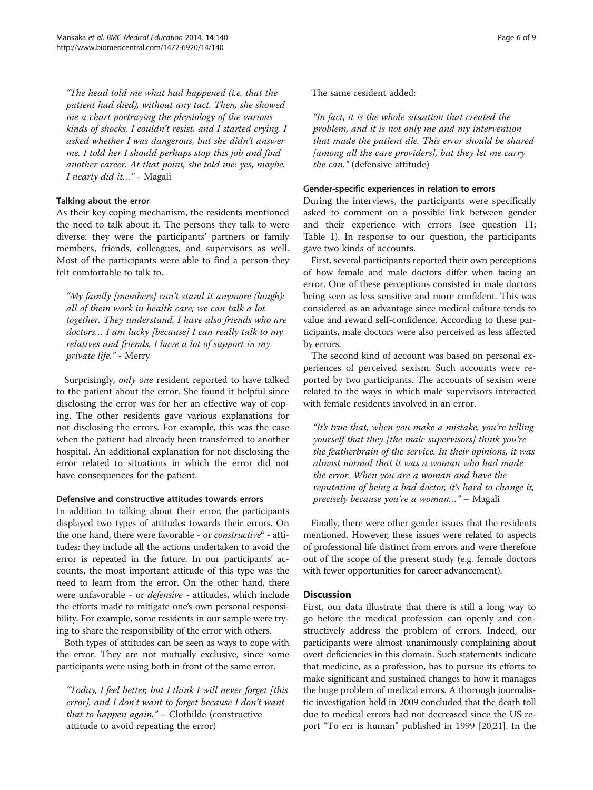"The head told me what had happened (i.e. that the patient had died), without any tact. Then, she showed me a chart portraying the physiology of the various kinds of shocks. I couldn't resist, and I started crying. I asked whether I was dangerous, but she didn't answer me. I told her I should perhaps stop this job and find another career. At that point, she told me: yes, maybe. I nearly did it…" - Magali

## Talking about the error

As their key coping mechanism, the residents mentioned the need to talk about it. The persons they talk to were diverse: they were the participants' partners or family members, friends, colleagues, and supervisors as well. Most of the participants were able to find a person they felt comfortable to talk to.

"My family [members] can't stand it anymore (laugh): all of them work in health care; we can talk a lot together. They understand. I have also friends who are doctors… I am lucky [because] I can really talk to my relatives and friends. I have a lot of support in my private life." - Merry

Surprisingly, only one resident reported to have talked to the patient about the error. She found it helpful since disclosing the error was for her an effective way of coping. The other residents gave various explanations for not disclosing the errors. For example, this was the case when the patient had already been transferred to another hospital. An additional explanation for not disclosing the error related to situations in which the error did not have consequences for the patient.

## Defensive and constructive attitudes towards errors

In addition to talking about their error, the participants displayed two types of attitudes towards their errors. On the one hand, there were favorable - or *constructive*<sup>a</sup> - attitudes: they include all the actions undertaken to avoid the error is repeated in the future. In our participants' accounts, the most important attitude of this type was the need to learn from the error. On the other hand, there were unfavorable - or defensive - attitudes, which include the efforts made to mitigate one's own personal responsibility. For example, some residents in our sample were trying to share the responsibility of the error with others.

Both types of attitudes can be seen as ways to cope with the error. They are not mutually exclusive, since some participants were using both in front of the same error.

"Today, I feel better, but I think I will never forget [this error], and I don't want to forget because I don't want that to happen again." – Clothilde (constructive attitude to avoid repeating the error)

The same resident added:

"In fact, it is the whole situation that created the problem, and it is not only me and my intervention that made the patient die. This error should be shared [among all the care providers], but they let me carry the can." (defensive attitude)

## Gender-specific experiences in relation to errors

During the interviews, the participants were specifically asked to comment on a possible link between gender and their experience with errors (see question 11; Table [1](#page-2-0)). In response to our question, the participants gave two kinds of accounts.

First, several participants reported their own perceptions of how female and male doctors differ when facing an error. One of these perceptions consisted in male doctors being seen as less sensitive and more confident. This was considered as an advantage since medical culture tends to value and reward self-confidence. According to these participants, male doctors were also perceived as less affected by errors.

The second kind of account was based on personal experiences of perceived sexism. Such accounts were reported by two participants. The accounts of sexism were related to the ways in which male supervisors interacted with female residents involved in an error.

"It's true that, when you make a mistake, you're telling yourself that they [the male supervisors] think you're the featherbrain of the service. In their opinions, it was almost normal that it was a woman who had made the error. When you are a woman and have the reputation of being a bad doctor, it's hard to change it, precisely because you're a woman…" – Magali

Finally, there were other gender issues that the residents mentioned. However, these issues were related to aspects of professional life distinct from errors and were therefore out of the scope of the present study (e.g. female doctors with fewer opportunities for career advancement).

## **Discussion**

First, our data illustrate that there is still a long way to go before the medical profession can openly and constructively address the problem of errors. Indeed, our participants were almost unanimously complaining about overt deficiencies in this domain. Such statements indicate that medicine, as a profession, has to pursue its efforts to make significant and sustained changes to how it manages the huge problem of medical errors. A thorough journalistic investigation held in 2009 concluded that the death toll due to medical errors had not decreased since the US report "To err is human" published in 1999 [[20,21\]](#page-7-0). In the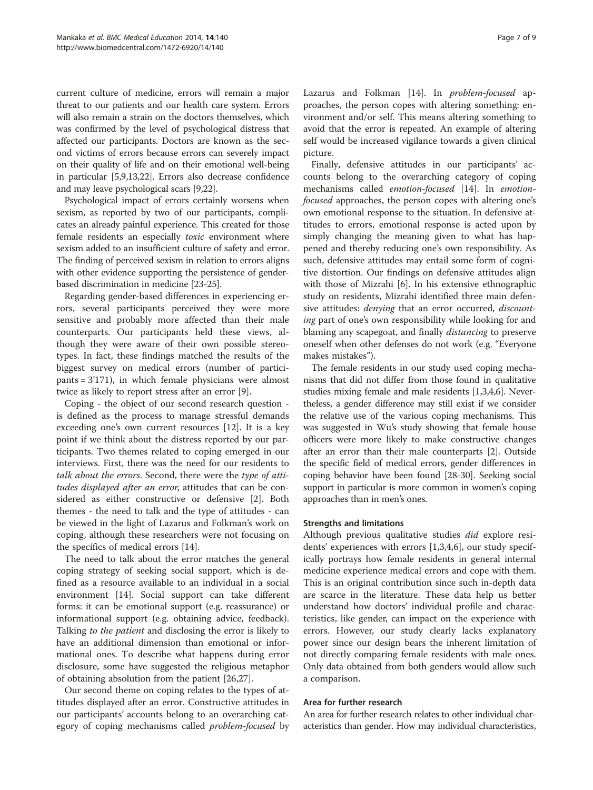current culture of medicine, errors will remain a major threat to our patients and our health care system. Errors will also remain a strain on the doctors themselves, which was confirmed by the level of psychological distress that affected our participants. Doctors are known as the second victims of errors because errors can severely impact on their quality of life and on their emotional well-being in particular [[5,9](#page-7-0),[13,22\]](#page-7-0). Errors also decrease confidence and may leave psychological scars [\[9,22\]](#page-7-0).

Psychological impact of errors certainly worsens when sexism, as reported by two of our participants, complicates an already painful experience. This created for those female residents an especially toxic environment where sexism added to an insufficient culture of safety and error. The finding of perceived sexism in relation to errors aligns with other evidence supporting the persistence of genderbased discrimination in medicine [[23](#page-7-0)[-25\]](#page-8-0).

Regarding gender-based differences in experiencing errors, several participants perceived they were more sensitive and probably more affected than their male counterparts. Our participants held these views, although they were aware of their own possible stereotypes. In fact, these findings matched the results of the biggest survey on medical errors (number of participants = 3'171), in which female physicians were almost twice as likely to report stress after an error [\[9](#page-7-0)].

Coping - the object of our second research question is defined as the process to manage stressful demands exceeding one's own current resources [\[12](#page-7-0)]. It is a key point if we think about the distress reported by our participants. Two themes related to coping emerged in our interviews. First, there was the need for our residents to talk about the errors. Second, there were the type of attitudes displayed after an error, attitudes that can be considered as either constructive or defensive [[2\]](#page-7-0). Both themes - the need to talk and the type of attitudes - can be viewed in the light of Lazarus and Folkman's work on coping, although these researchers were not focusing on the specifics of medical errors [\[14](#page-7-0)].

The need to talk about the error matches the general coping strategy of seeking social support, which is defined as a resource available to an individual in a social environment [\[14](#page-7-0)]. Social support can take different forms: it can be emotional support (e.g. reassurance) or informational support (e.g. obtaining advice, feedback). Talking to the patient and disclosing the error is likely to have an additional dimension than emotional or informational ones. To describe what happens during error disclosure, some have suggested the religious metaphor of obtaining absolution from the patient [[26,27](#page-8-0)].

Our second theme on coping relates to the types of attitudes displayed after an error. Constructive attitudes in our participants' accounts belong to an overarching category of coping mechanisms called problem-focused by Lazarus and Folkman [[14\]](#page-7-0). In problem-focused approaches, the person copes with altering something: environment and/or self. This means altering something to avoid that the error is repeated. An example of altering self would be increased vigilance towards a given clinical picture.

Finally, defensive attitudes in our participants' accounts belong to the overarching category of coping mechanisms called emotion-focused [\[14](#page-7-0)]. In emotionfocused approaches, the person copes with altering one's own emotional response to the situation. In defensive attitudes to errors, emotional response is acted upon by simply changing the meaning given to what has happened and thereby reducing one's own responsibility. As such, defensive attitudes may entail some form of cognitive distortion. Our findings on defensive attitudes align with those of Mizrahi [\[6](#page-7-0)]. In his extensive ethnographic study on residents, Mizrahi identified three main defensive attitudes: *denying* that an error occurred, *discount*ing part of one's own responsibility while looking for and blaming any scapegoat, and finally *distancing* to preserve oneself when other defenses do not work (e.g. "Everyone makes mistakes").

The female residents in our study used coping mechanisms that did not differ from those found in qualitative studies mixing female and male residents [\[1,3,4,6](#page-7-0)]. Nevertheless, a gender difference may still exist if we consider the relative use of the various coping mechanisms. This was suggested in Wu's study showing that female house officers were more likely to make constructive changes after an error than their male counterparts [[2](#page-7-0)]. Outside the specific field of medical errors, gender differences in coping behavior have been found [[28](#page-8-0)-[30](#page-8-0)]. Seeking social support in particular is more common in women's coping approaches than in men's ones.

## Strengths and limitations

Although previous qualitative studies did explore residents' experiences with errors [[1](#page-7-0),[3,4,6\]](#page-7-0), our study specifically portrays how female residents in general internal medicine experience medical errors and cope with them. This is an original contribution since such in-depth data are scarce in the literature. These data help us better understand how doctors' individual profile and characteristics, like gender, can impact on the experience with errors. However, our study clearly lacks explanatory power since our design bears the inherent limitation of not directly comparing female residents with male ones. Only data obtained from both genders would allow such a comparison.

## Area for further research

An area for further research relates to other individual characteristics than gender. How may individual characteristics,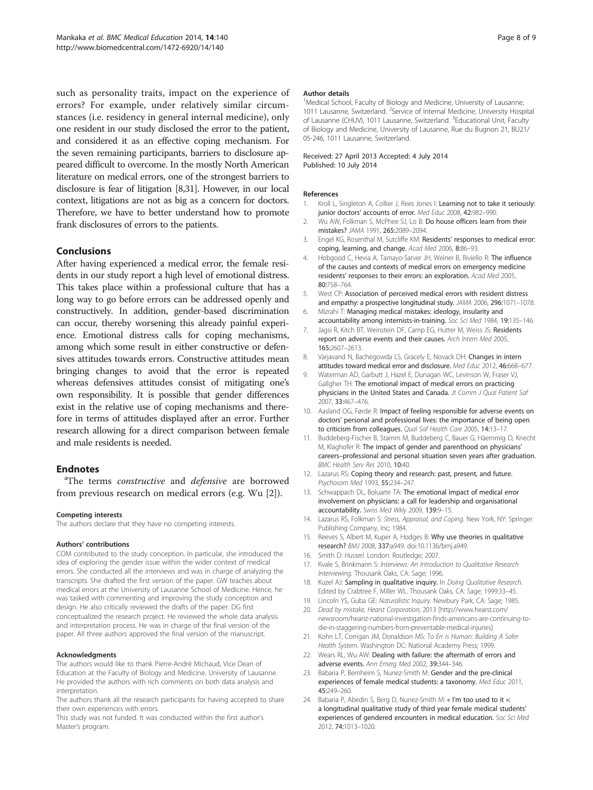<span id="page-7-0"></span>such as personality traits, impact on the experience of errors? For example, under relatively similar circumstances (i.e. residency in general internal medicine), only one resident in our study disclosed the error to the patient, and considered it as an effective coping mechanism. For the seven remaining participants, barriers to disclosure appeared difficult to overcome. In the mostly North American literature on medical errors, one of the strongest barriers to disclosure is fear of litigation [8,[31](#page-8-0)]. However, in our local context, litigations are not as big as a concern for doctors. Therefore, we have to better understand how to promote frank disclosures of errors to the patients.

## **Conclusions**

After having experienced a medical error, the female residents in our study report a high level of emotional distress. This takes place within a professional culture that has a long way to go before errors can be addressed openly and constructively. In addition, gender-based discrimination can occur, thereby worsening this already painful experience. Emotional distress calls for coping mechanisms, among which some result in either constructive or defensives attitudes towards errors. Constructive attitudes mean bringing changes to avoid that the error is repeated whereas defensives attitudes consist of mitigating one's own responsibility. It is possible that gender differences exist in the relative use of coping mechanisms and therefore in terms of attitudes displayed after an error. Further research allowing for a direct comparison between female and male residents is needed.

## **Endnotes**

<sup>a</sup>The terms *constructive* and *defensive* are borrowed from previous research on medical errors (e.g. Wu [2]).

#### Competing interests

The authors declare that they have no competing interests.

#### Authors' contributions

COM contributed to the study conception. In particular, she introduced the idea of exploring the gender issue within the wider context of medical errors. She conducted all the interviews and was in charge of analyzing the transcripts. She drafted the first version of the paper. GW teaches about medical errors at the University of Lausanne School of Medicine. Hence, he was tasked with commenting and improving the study conception and design. He also critically reviewed the drafts of the paper. DG first conceptualized the research project. He reviewed the whole data analysis and interpretation process. He was in charge of the final version of the paper. All three authors approved the final version of the manuscript.

#### Acknowledgments

The authors would like to thank Pierre-André Michaud, Vice Dean of Education at the Faculty of Biology and Medicine, University of Lausanne. He provided the authors with rich comments on both data analysis and interpretation.

The authors thank all the research participants for having accepted to share their own experiences with errors.

This study was not funded. It was conducted within the first author's Master's program.

#### Author details

<sup>1</sup> Medical School, Faculty of Biology and Medicine, University of Lausanne, 1011 Lausanne, Switzerland. <sup>2</sup>Service of Internal Medicine, University Hospital of Lausanne (CHUV), 1011 Lausanne, Switzerland. <sup>3</sup>Educational Unit, Faculty of Biology and Medicine, University of Lausanne, Rue du Bugnon 21, BU21/ 05-246, 1011 Lausanne, Switzerland.

#### Received: 27 April 2013 Accepted: 4 July 2014 Published: 10 July 2014

#### References

- 1. Kroll L, Singleton A, Collier J, Rees Jones I: Learning not to take it seriously: junior doctors' accounts of error. Med Educ 2008, 42:982-990.
- 2. Wu AW, Folkman S, McPhee SJ, Lo B: Do house officers learn from their mistakes? JAMA 1991, 265:2089–2094.
- 3. Engel KG, Rosenthal M, Sutcliffe KM: Residents' responses to medical error: coping, learning, and change. Acad Med 2006, 8:86–93.
- 4. Hobgood C, Hevia A, Tamayo-Sarver JH, Weiner B, Riviello R: The influence of the causes and contexts of medical errors on emergency medicine residents' responses to their errors: an exploration. Acad Med 2005, 80:758–764.
- 5. West CP: Association of perceived medical errors with resident distress and empathy: a prospective longitudinal study. JAMA 2006, 296:1071–1078.
- 6. Mizrahi T: Managing medical mistakes: ideology, insularity and accountability among internists-in-training. Soc Sci Med 1984, 19:135–146.
- 7. Jagsi R, Kitch BT, Weinstein DF, Camp EG, Hutter M, Weiss JS: Residents report on adverse events and their causes. Arch Intern Med 2005, 165:2607–2613.
- 8. Varjavand N, Bachegowda LS, Gracely E, Novack DH: Changes in intern attitudes toward medical error and disclosure. Med Educ 2012, 46:668–677.
- 9. Waterman AD, Garbutt J, Hazel E, Dunagan WC, Levinson W, Fraser VJ, Gallgher TH: The emotional impact of medical errors on practicing physicians in the United States and Canada. Jt Comm J Qual Patient Saf 2007, 33:467–476.
- 10. Aasland OG, Førde R: Impact of feeling responsible for adverse events on doctors' personal and professional lives: the importance of being open to criticism from colleagues. Qual Saf Health Care 2005, 14:13–17.
- 11. Buddeberg-Fischer B, Stamm M, Buddeberg C, Bauer G, Häemmig O, Knecht M, Klaghofer R: The impact of gender and parenthood on physicians' careers–professional and personal situation seven years after graduation. BMC Health Serv Res 2010, 10:40.
- 12. Lazarus RS: Coping theory and research: past, present, and future. Psychosom Med 1993, 55:234–247.
- 13. Schwappach DL, Boluarte TA: The emotional impact of medical error involvement on physicians: a call for leadership and organisational accountability. Swiss Med Wkly 2009, 139:9–15.
- 14. Lazarus RS, Folkman S: Stress, Appraisal, and Coping. New York, NY: Springer Publishing Company, Inc; 1984.
- 15. Reeves S, Albert M, Kuper A, Hodges B: Why use theories in qualitative research? BMJ 2008, 337:a949. doi:10.1136/bmj.a949.
- 16. Smith D: Husserl. London: Routledge; 2007.
- 17. Kvale S, Brinkmann S: Interviews: An Introduction to Qualitative Research Interviewing. Thousank Oaks, CA: Sage; 1996.
- 18. Kuzel AJ: Sampling in qualitative inquiry. In Doing Qualitative Research. Edited by Crabtree F, Miller WL. Thousank Oaks, CA: Sage; 1999:33–45.
- 19. Lincoln YS, Guba GE: Naturalistic Inquiry. Newbury Park, CA: Sage; 1985.
- 20. Dead by mistake, Hearst Corporation; 2013 [\[http://www.hearst.com/](http://www.hearst.com/newsroom/hearst-national-investigation-finds-americans-are-continuing-to-die-in-staggering-numbers-from-preventable-medical-injuries) [newsroom/hearst-national-investigation-finds-americans-are-continuing-to](http://www.hearst.com/newsroom/hearst-national-investigation-finds-americans-are-continuing-to-die-in-staggering-numbers-from-preventable-medical-injuries)[die-in-staggering-numbers-from-preventable-medical-injuries](http://www.hearst.com/newsroom/hearst-national-investigation-finds-americans-are-continuing-to-die-in-staggering-numbers-from-preventable-medical-injuries)]
- 21. Kohn LT, Corrigan JM, Donaldson MS: To Err is Human: Building A Safer Health System. Washington DC: National Academy Press; 1999.
- 22. Wears RL, Wu AW: Dealing with failure: the aftermath of errors and adverse events. Ann Emerg Med 2002, 39:344–346.
- 23. Babaria P, Bernheim S, Nunez-Smith M: Gender and the pre-clinical experiences of female medical students: a taxonomy. Med Educ 2011, 45:249–260.
- 24. Babaria P, Abedin S, Berg D, Nunez-Smith M: « I'm too used to it »: a longitudinal qualitative study of third year female medical students' experiences of gendered encounters in medical education. Soc Sci Med 2012, 74:1013–1020.